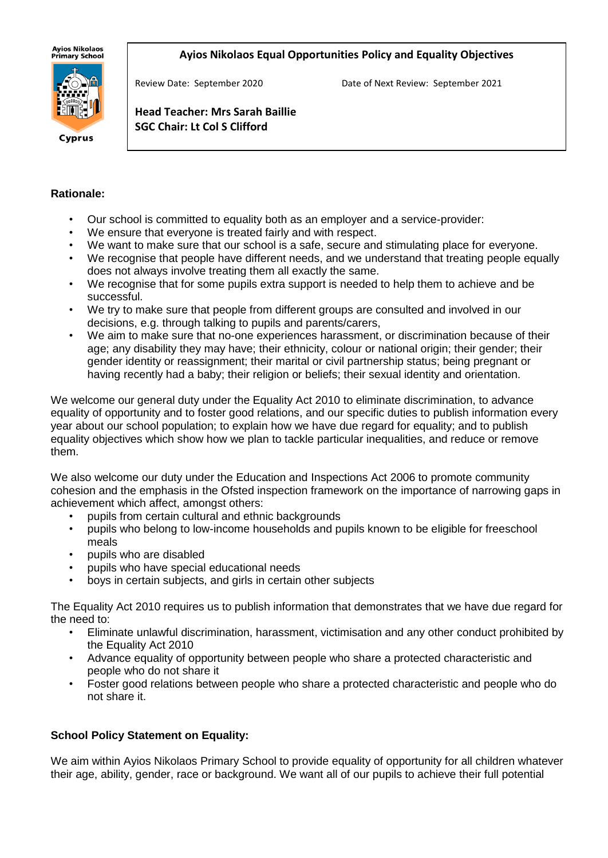**Ayios Nikolaos** ny.cs m.c.c.cs<br>Primary School

#### **Ayios Nikolaos Equal Opportunities Policy and Equality Objectives**



Cyprus

Review Date: September 2020 Date of Next Review: September 2021

**Head Teacher: Mrs Sarah Baillie SGC Chair: Lt Col S Clifford**

#### **Rationale:**

- Our school is committed to equality both as an employer and a service-provider:
- We ensure that everyone is treated fairly and with respect.
- We want to make sure that our school is a safe, secure and stimulating place for everyone.
- We recognise that people have different needs, and we understand that treating people equally does not always involve treating them all exactly the same.
- We recognise that for some pupils extra support is needed to help them to achieve and be successful.
- We try to make sure that people from different groups are consulted and involved in our decisions, e.g. through talking to pupils and parents/carers,
- We aim to make sure that no-one experiences harassment, or discrimination because of their age; any disability they may have; their ethnicity, colour or national origin; their gender; their gender identity or reassignment; their marital or civil partnership status; being pregnant or having recently had a baby; their religion or beliefs; their sexual identity and orientation.

We welcome our general duty under the Equality Act 2010 to eliminate discrimination, to advance equality of opportunity and to foster good relations, and our specific duties to publish information every year about our school population; to explain how we have due regard for equality; and to publish equality objectives which show how we plan to tackle particular inequalities, and reduce or remove them.

We also welcome our duty under the Education and Inspections Act 2006 to promote community cohesion and the emphasis in the Ofsted inspection framework on the importance of narrowing gaps in achievement which affect, amongst others:

- pupils from certain cultural and ethnic backgrounds
- pupils who belong to low-income households and pupils known to be eligible for freeschool meals
- pupils who are disabled
- pupils who have special educational needs
- boys in certain subjects, and girls in certain other subjects

The Equality Act 2010 requires us to publish information that demonstrates that we have due regard for the need to:

- Eliminate unlawful discrimination, harassment, victimisation and any other conduct prohibited by the Equality Act 2010
- Advance equality of opportunity between people who share a protected characteristic and people who do not share it
- Foster good relations between people who share a protected characteristic and people who do not share it.

# **School Policy Statement on Equality:**

We aim within Ayios Nikolaos Primary School to provide equality of opportunity for all children whatever their age, ability, gender, race or background. We want all of our pupils to achieve their full potential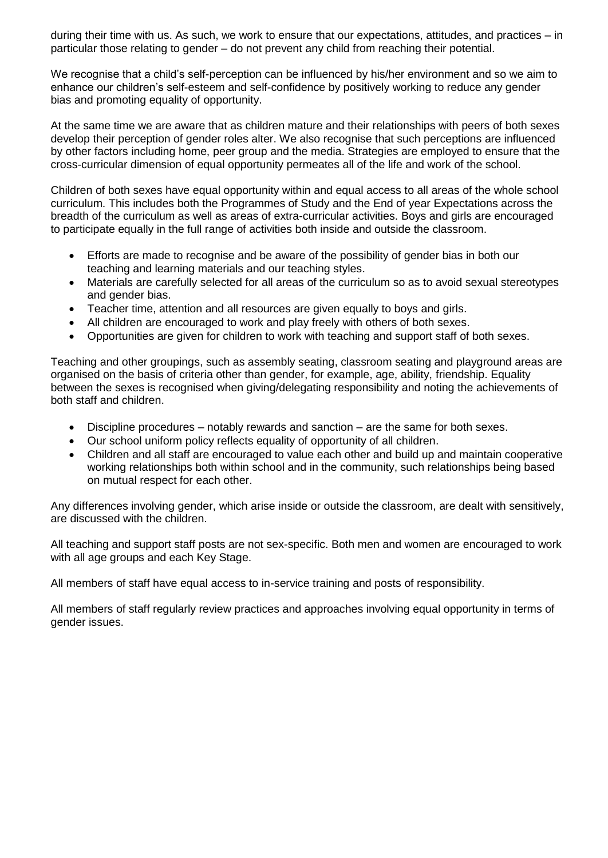during their time with us. As such, we work to ensure that our expectations, attitudes, and practices – in particular those relating to gender – do not prevent any child from reaching their potential.

We recognise that a child's self-perception can be influenced by his/her environment and so we aim to enhance our children's self-esteem and self-confidence by positively working to reduce any gender bias and promoting equality of opportunity.

At the same time we are aware that as children mature and their relationships with peers of both sexes develop their perception of gender roles alter. We also recognise that such perceptions are influenced by other factors including home, peer group and the media. Strategies are employed to ensure that the cross-curricular dimension of equal opportunity permeates all of the life and work of the school.

Children of both sexes have equal opportunity within and equal access to all areas of the whole school curriculum. This includes both the Programmes of Study and the End of year Expectations across the breadth of the curriculum as well as areas of extra-curricular activities. Boys and girls are encouraged to participate equally in the full range of activities both inside and outside the classroom.

- Efforts are made to recognise and be aware of the possibility of gender bias in both our teaching and learning materials and our teaching styles.
- Materials are carefully selected for all areas of the curriculum so as to avoid sexual stereotypes and gender bias.
- Teacher time, attention and all resources are given equally to boys and girls.
- All children are encouraged to work and play freely with others of both sexes.
- Opportunities are given for children to work with teaching and support staff of both sexes.

Teaching and other groupings, such as assembly seating, classroom seating and playground areas are organised on the basis of criteria other than gender, for example, age, ability, friendship. Equality between the sexes is recognised when giving/delegating responsibility and noting the achievements of both staff and children.

- Discipline procedures notably rewards and sanction are the same for both sexes.
- Our school uniform policy reflects equality of opportunity of all children.
- Children and all staff are encouraged to value each other and build up and maintain cooperative working relationships both within school and in the community, such relationships being based on mutual respect for each other.

Any differences involving gender, which arise inside or outside the classroom, are dealt with sensitively, are discussed with the children.

All teaching and support staff posts are not sex-specific. Both men and women are encouraged to work with all age groups and each Key Stage.

All members of staff have equal access to in-service training and posts of responsibility.

All members of staff regularly review practices and approaches involving equal opportunity in terms of gender issues.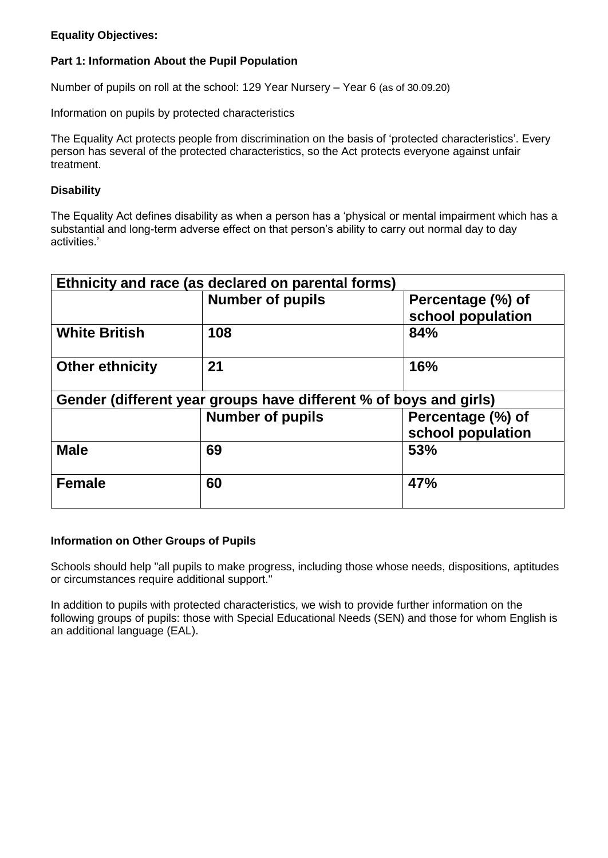## **Equality Objectives:**

## **Part 1: Information About the Pupil Population**

Number of pupils on roll at the school: 129 Year Nursery – Year 6 (as of 30.09.20)

Information on pupils by protected characteristics

The Equality Act protects people from discrimination on the basis of 'protected characteristics'. Every person has several of the protected characteristics, so the Act protects everyone against unfair treatment.

#### **Disability**

The Equality Act defines disability as when a person has a 'physical or mental impairment which has a substantial and long-term adverse effect on that person's ability to carry out normal day to day activities.'

| Ethnicity and race (as declared on parental forms)                |                         |                                        |
|-------------------------------------------------------------------|-------------------------|----------------------------------------|
|                                                                   | <b>Number of pupils</b> | Percentage (%) of<br>school population |
| <b>White British</b>                                              | 108                     | 84%                                    |
| <b>Other ethnicity</b>                                            | 21                      | 16%                                    |
| Gender (different year groups have different % of boys and girls) |                         |                                        |
|                                                                   | <b>Number of pupils</b> | Percentage (%) of<br>school population |
| <b>Male</b>                                                       | 69                      | 53%                                    |
| <b>Female</b>                                                     | 60                      | 47%                                    |

#### **Information on Other Groups of Pupils**

Schools should help "all pupils to make progress, including those whose needs, dispositions, aptitudes or circumstances require additional support."

In addition to pupils with protected characteristics, we wish to provide further information on the following groups of pupils: those with Special Educational Needs (SEN) and those for whom English is an additional language (EAL).